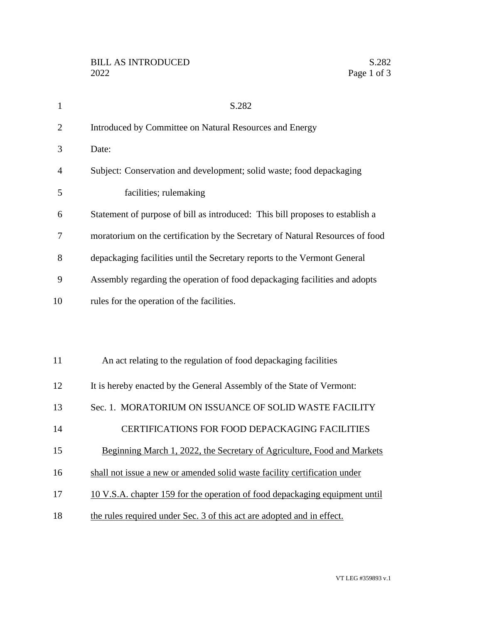| $\mathbf{1}$   | S.282                                                                         |
|----------------|-------------------------------------------------------------------------------|
| $\overline{2}$ | Introduced by Committee on Natural Resources and Energy                       |
| 3              | Date:                                                                         |
| 4              | Subject: Conservation and development; solid waste; food depackaging          |
| 5              | facilities; rulemaking                                                        |
| 6              | Statement of purpose of bill as introduced: This bill proposes to establish a |
| 7              | moratorium on the certification by the Secretary of Natural Resources of food |
| 8              | depackaging facilities until the Secretary reports to the Vermont General     |
| 9              | Assembly regarding the operation of food depackaging facilities and adopts    |
| 10             | rules for the operation of the facilities.                                    |
|                |                                                                               |
|                |                                                                               |
| 11             | An act relating to the regulation of food depackaging facilities              |
| 12             | It is hereby enacted by the General Assembly of the State of Vermont:         |
| 13             | Sec. 1. MORATORIUM ON ISSUANCE OF SOLID WASTE FACILITY                        |
| 14             | CERTIFICATIONS FOR FOOD DEPACKAGING FACILITIES                                |
| 15             | Beginning March 1, 2022, the Secretary of Agriculture, Food and Markets       |
| 16             | shall not issue a new or amended solid waste facility certification under     |
| 17             | 10 V.S.A. chapter 159 for the operation of food depackaging equipment until   |
| 18             | the rules required under Sec. 3 of this act are adopted and in effect.        |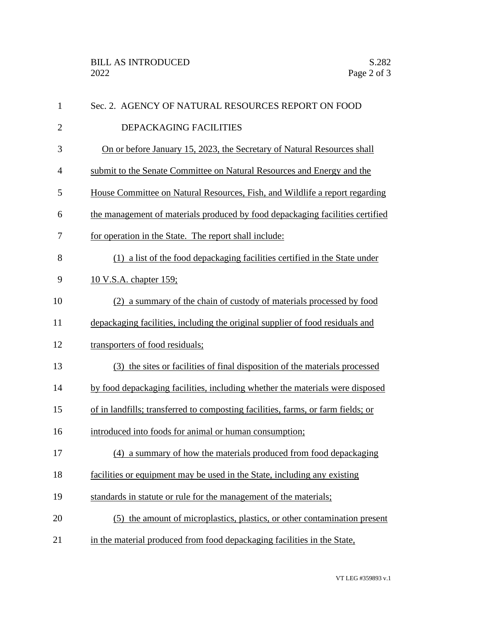| $\mathbf{1}$   | Sec. 2. AGENCY OF NATURAL RESOURCES REPORT ON FOOD                               |
|----------------|----------------------------------------------------------------------------------|
| $\overline{2}$ | DEPACKAGING FACILITIES                                                           |
| 3              | On or before January 15, 2023, the Secretary of Natural Resources shall          |
| $\overline{4}$ | submit to the Senate Committee on Natural Resources and Energy and the           |
| 5              | House Committee on Natural Resources, Fish, and Wildlife a report regarding      |
| 6              | the management of materials produced by food depackaging facilities certified    |
| 7              | for operation in the State. The report shall include:                            |
| 8              | (1) a list of the food depackaging facilities certified in the State under       |
| 9              | <u>10 V.S.A. chapter 159;</u>                                                    |
| 10             | (2) a summary of the chain of custody of materials processed by food             |
| 11             | depackaging facilities, including the original supplier of food residuals and    |
| 12             | transporters of food residuals;                                                  |
| 13             | (3) the sites or facilities of final disposition of the materials processed      |
| 14             | by food depackaging facilities, including whether the materials were disposed    |
| 15             | of in landfills; transferred to composting facilities, farms, or farm fields; or |
| 16             | introduced into foods for animal or human consumption;                           |
| 17             | (4) a summary of how the materials produced from food depackaging                |
| 18             | facilities or equipment may be used in the State, including any existing         |
| 19             | standards in statute or rule for the management of the materials;                |
| 20             | (5) the amount of microplastics, plastics, or other contamination present        |
| 21             | in the material produced from food depackaging facilities in the State,          |